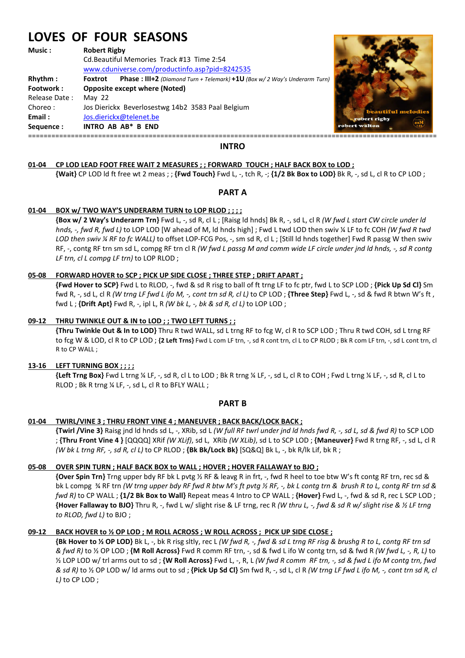# **LOVES OF FOUR SEASONS**

**Music : Robert Rigby**

Cd.Beautiful Memories Track #13 Time 2:54 www.cduniverse.com/productinfo.asp?pid=8242535

**Rhythm : Foxtrot Phase : III+2** *(Diamond Turn + Telemark}* **+1U** *(Box w/ 2 Way's Underarm Turn)*

**Footwork : Opposite except where (Noted)**  Release Date : May 22 Choreo : Jos Dierickx Beverlosestwg 14b2 3583 Paal Belgium **Email :** Jos.dierickx@telenet.be **Sequence : INTRO AB AB\* B END** 



# **INTRO**

# **01-04 CP LOD LEAD FOOT FREE WAIT 2 MEASURES ; ; FORWARD TOUCH ; HALF BACK BOX to LOD ;**

**{Wait}** CP LOD ld ft free wt 2 meas ; ; **{Fwd Touch}** Fwd L, -, tch R, -; **{1/2 Bk Box to LOD}** Bk R, -, sd L, cl R to CP LOD ;

# **PART A**

# **01-04 BOX w/ TWO WAY'S UNDERARM TURN to LOP RLOD ; ; ; ;**

 **{Box w/ 2 Way's Underarm Trn}** Fwd L, -, sd R, cl L ; [Raisg ld hnds] Bk R, -, sd L, cl R *(W fwd L start CW circle under ld hnds, -, fwd R, fwd L)* to LOP LOD [W ahead of M, ld hnds high] ; Fwd L twd LOD then swiv ¼ LF to fc COH *(W fwd R twd LOD then swiv % RF to fc WALL)* to offset LOP-FCG Pos, -, sm sd R, cl L; [Still ld hnds together] Fwd R passg W then swiv RF, -, contg RF trn sm sd L, compg RF trn cl R *(W fwd L passg M and comm wide LF circle under jnd ld hnds, -, sd R contg LF trn, cl L compg LF trn)* to LOP RLOD ;

# **05-08 FORWARD HOVER to SCP ; PICK UP SIDE CLOSE ; THREE STEP ; DRIFT APART ;**

 **{Fwd Hover to SCP}** Fwd L to RLOD, -, fwd & sd R risg to ball of ft trng LF to fc ptr, fwd L to SCP LOD ; **{Pick Up Sd Cl}** Sm fwd R, -, sd L, cl R *(W trng LF fwd L ifo M, -, cont trn sd R, cl L)* to CP LOD ; **{Three Step}** Fwd L, -, sd & fwd R btwn W's ft , fwd L ; **{Drift Apt}** Fwd R, -, ipl L, R *(W bk L, -, bk & sd R, cl L)* to LOP LOD ;

# **09-12 THRU TWINKLE OUT & IN to LOD ; ; TWO LEFT TURNS ; ;**

 **{Thru Twinkle Out & In to LOD}** Thru R twd WALL, sd L trng RF to fcg W, cl R to SCP LOD ; Thru R twd COH, sd L trng RF to fcg W & LOD, cl R to CP LOD ; **{2 Left Trns}** Fwd L com LF trn, -, sd R cont trn, cl L to CP RLOD ; Bk R com LF trn, -, sd L cont trn, cl R to CP WALL ;

#### **13-16 LEFT TURNING BOX ; ; ; ;**

**{Left Trng Box}** Fwd L trng ¼ LF, -, sd R, cl L to LOD ; Bk R trng ¼ LF, -, sd L, cl R to COH ; Fwd L trng ¼ LF, -, sd R, cl L to RLOD ; Bk R trng ¼ LF, -, sd L, cl R to BFLY WALL ;

# **PART B**

#### **01-04 TWIRL/VINE 3 ; THRU FRONT VINE 4 ; MANEUVER ; BACK BACK/LOCK BACK ;**

 **{Twirl /Vine 3}** Raisg jnd ld hnds sd L, -, XRib, sd L *(W full RF twrl under jnd ld hnds fwd R, -, sd L, sd & fwd R)* to SCP LOD ; **{Thru Front Vine 4 }** [QQQQ] XRif *(W XLif)*, sd L, XRib *(W XLib)*, sd L to SCP LOD ; **{Maneuver}** Fwd R trng RF, -, sd L, cl R *(W bk L trng RF, -, sd R, cl L)* to CP RLOD ; **{Bk Bk/Lock Bk}** [SQ&Q] Bk L, -, bk R/lk Lif, bk R ;

# **05-08 OVER SPIN TURN ; HALF BACK BOX to WALL ; HOVER ; HOVER FALLAWAY to BJO ;**

 **{Over Spin Trn}** Trng upper bdy RF bk L pvtg ½ RF & leavg R in frt, -, fwd R heel to toe btw W's ft contg RF trn, rec sd & bk L compg ¾ RF trn *(W trng upper bdy RF fwd R btw M's ft pvtg ½ RF, -, bk L contg trn & brush R to L, contg RF trn sd & fwd R)* to CP WALL ; **{1/2 Bk Box to Wall}** Repeat meas 4 Intro to CP WALL ; **{Hover}** Fwd L, -, fwd & sd R, rec L SCP LOD ;  **{Hover Fallaway to BJO}** Thru R, -, fwd L w/ slight rise & LF trng, rec R *(W thru L, -, fwd & sd R w/ slight rise & ½ LF trng to RLOD, fwd L)* to BJO ;

# **09-12 BACK HOVER to ½ OP LOD ; M ROLL ACROSS ; W ROLL ACROSS ; PICK UP SIDE CLOSE ;**

 **{Bk Hover to ½ OP LOD}** Bk L, -, bk R risg sltly, rec L *(W fwd R, -, fwd & sd L trng RF risg & brushg R to L, contg RF trn sd & fwd R)* to ½ OP LOD ; **{M Roll Across}** Fwd R comm RF trn, -, sd & fwd L ifo W contg trn, sd & fwd R *(W fwd L, -, R, L)* to ½ LOP LOD w/ trl arms out to sd ; **{W Roll Across}** Fwd L, -, R, L *(W fwd R comm RF trn, -, sd & fwd L ifo M contg trn, fwd & sd R)* to ½ OP LOD w/ ld arms out to sd ; **{Pick Up Sd Cl}** Sm fwd R, -, sd L, cl R *(W trng LF fwd L ifo M, -, cont trn sd R, cl L)* to CP LOD ;